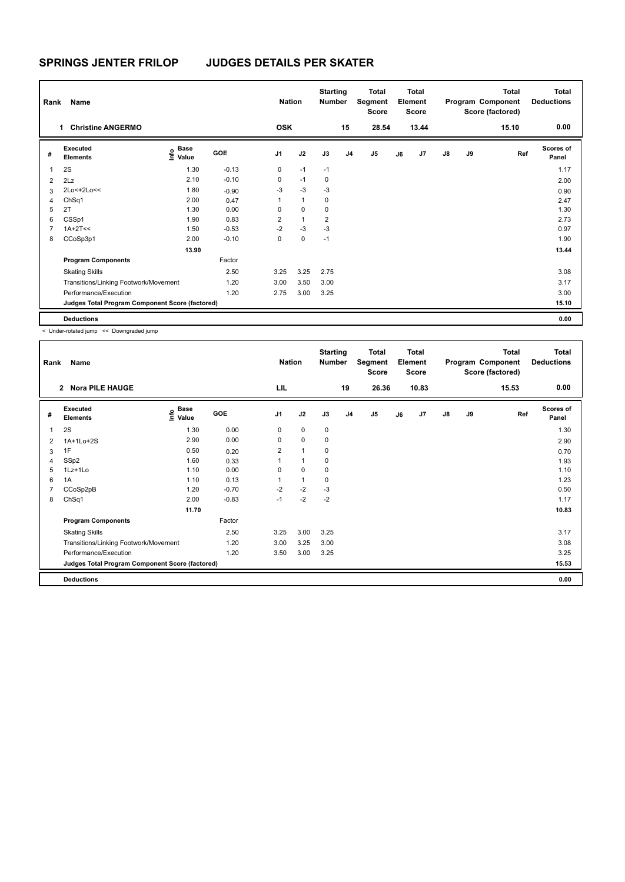| Rank           | Name                                            |                                    |            | <b>Nation</b>  |                | <b>Starting</b><br><b>Number</b> |                | Total<br>Segment<br><b>Score</b> |    | <b>Total</b><br>Element<br><b>Score</b> |               |    | <b>Total</b><br>Program Component<br>Score (factored) | <b>Total</b><br><b>Deductions</b> |
|----------------|-------------------------------------------------|------------------------------------|------------|----------------|----------------|----------------------------------|----------------|----------------------------------|----|-----------------------------------------|---------------|----|-------------------------------------------------------|-----------------------------------|
|                | <b>Christine ANGERMO</b><br>1                   |                                    |            | <b>OSK</b>     |                |                                  | 15             | 28.54                            |    | 13.44                                   |               |    | 15.10                                                 | 0.00                              |
| #              | Executed<br><b>Elements</b>                     | <b>Base</b><br>$\frac{6}{5}$ Value | <b>GOE</b> | J <sub>1</sub> | J2             | J3                               | J <sub>4</sub> | J <sub>5</sub>                   | J6 | J7                                      | $\mathsf{J}8$ | J9 | Ref                                                   | <b>Scores of</b><br>Panel         |
| 1              | 2S                                              | 1.30                               | $-0.13$    | 0              | $-1$           | $-1$                             |                |                                  |    |                                         |               |    |                                                       | 1.17                              |
| $\overline{2}$ | 2Lz                                             | 2.10                               | $-0.10$    | 0              | $-1$           | 0                                |                |                                  |    |                                         |               |    |                                                       | 2.00                              |
| 3              | 2Lo<+2Lo<<                                      | 1.80                               | $-0.90$    | $-3$           | $-3$           | $-3$                             |                |                                  |    |                                         |               |    |                                                       | 0.90                              |
| 4              | ChSq1                                           | 2.00                               | 0.47       |                | $\mathbf{1}$   | 0                                |                |                                  |    |                                         |               |    |                                                       | 2.47                              |
| 5              | 2T                                              | 1.30                               | 0.00       | 0              | $\mathbf 0$    | 0                                |                |                                  |    |                                         |               |    |                                                       | 1.30                              |
| 6              | CSSp1                                           | 1.90                               | 0.83       | $\overline{2}$ | $\overline{1}$ | $\overline{2}$                   |                |                                  |    |                                         |               |    |                                                       | 2.73                              |
|                | $1A+2T<<$                                       | 1.50                               | $-0.53$    | $-2$           | $-3$           | $-3$                             |                |                                  |    |                                         |               |    |                                                       | 0.97                              |
| 8              | CCoSp3p1                                        | 2.00                               | $-0.10$    | 0              | $\mathbf 0$    | $-1$                             |                |                                  |    |                                         |               |    |                                                       | 1.90                              |
|                |                                                 | 13.90                              |            |                |                |                                  |                |                                  |    |                                         |               |    |                                                       | 13.44                             |
|                | <b>Program Components</b>                       |                                    | Factor     |                |                |                                  |                |                                  |    |                                         |               |    |                                                       |                                   |
|                | <b>Skating Skills</b>                           |                                    | 2.50       | 3.25           | 3.25           | 2.75                             |                |                                  |    |                                         |               |    |                                                       | 3.08                              |
|                | Transitions/Linking Footwork/Movement           |                                    | 1.20       | 3.00           | 3.50           | 3.00                             |                |                                  |    |                                         |               |    |                                                       | 3.17                              |
|                | Performance/Execution                           |                                    | 1.20       | 2.75           | 3.00           | 3.25                             |                |                                  |    |                                         |               |    |                                                       | 3.00                              |
|                | Judges Total Program Component Score (factored) |                                    |            |                |                |                                  |                |                                  |    |                                         |               |    |                                                       | 15.10                             |
|                | <b>Deductions</b>                               |                                    |            |                |                |                                  |                |                                  |    |                                         |               |    |                                                       | 0.00                              |

< Under-rotated jump << Downgraded jump

| Rank | Name                                            |                           |         | <b>Nation</b>  |                      | <b>Starting</b><br>Number |                | <b>Total</b><br>Segment<br><b>Score</b> |    | <b>Total</b><br>Element<br><b>Score</b> |               |    | <b>Total</b><br>Program Component<br>Score (factored) | Total<br><b>Deductions</b> |
|------|-------------------------------------------------|---------------------------|---------|----------------|----------------------|---------------------------|----------------|-----------------------------------------|----|-----------------------------------------|---------------|----|-------------------------------------------------------|----------------------------|
|      | <b>Nora PILE HAUGE</b><br>$\mathbf{2}$          |                           |         | LIL            |                      |                           | 19             | 26.36                                   |    | 10.83                                   |               |    | 15.53                                                 | 0.00                       |
| #    | <b>Executed</b><br><b>Elements</b>              | Base<br>e Base<br>⊆ Value | GOE     | J <sub>1</sub> | J2                   | J3                        | J <sub>4</sub> | J <sub>5</sub>                          | J6 | J7                                      | $\mathsf{J}8$ | J9 | Ref                                                   | <b>Scores of</b><br>Panel  |
| 1    | 2S                                              | 1.30                      | 0.00    | 0              | 0                    | 0                         |                |                                         |    |                                         |               |    |                                                       | 1.30                       |
| 2    | 1A+1Lo+2S                                       | 2.90                      | 0.00    | 0              | 0                    | 0                         |                |                                         |    |                                         |               |    |                                                       | 2.90                       |
| 3    | 1F                                              | 0.50                      | 0.20    | $\overline{2}$ | 1                    | 0                         |                |                                         |    |                                         |               |    |                                                       | 0.70                       |
| 4    | SSp2                                            | 1.60                      | 0.33    |                | $\blacktriangleleft$ | 0                         |                |                                         |    |                                         |               |    |                                                       | 1.93                       |
| 5    | $1Lz+1L0$                                       | 1.10                      | 0.00    | 0              | $\mathbf 0$          | 0                         |                |                                         |    |                                         |               |    |                                                       | 1.10                       |
| 6    | 1A                                              | 1.10                      | 0.13    | 1              | $\mathbf{1}$         | 0                         |                |                                         |    |                                         |               |    |                                                       | 1.23                       |
|      | CCoSp2pB                                        | 1.20                      | $-0.70$ | $-2$           | $-2$                 | $-3$                      |                |                                         |    |                                         |               |    |                                                       | 0.50                       |
| 8    | ChSq1                                           | 2.00                      | $-0.83$ | $-1$           | $-2$                 | $-2$                      |                |                                         |    |                                         |               |    |                                                       | 1.17                       |
|      |                                                 | 11.70                     |         |                |                      |                           |                |                                         |    |                                         |               |    |                                                       | 10.83                      |
|      | <b>Program Components</b>                       |                           | Factor  |                |                      |                           |                |                                         |    |                                         |               |    |                                                       |                            |
|      | <b>Skating Skills</b>                           |                           | 2.50    | 3.25           | 3.00                 | 3.25                      |                |                                         |    |                                         |               |    |                                                       | 3.17                       |
|      | Transitions/Linking Footwork/Movement           |                           | 1.20    | 3.00           | 3.25                 | 3.00                      |                |                                         |    |                                         |               |    |                                                       | 3.08                       |
|      | Performance/Execution                           |                           | 1.20    | 3.50           | 3.00                 | 3.25                      |                |                                         |    |                                         |               |    |                                                       | 3.25                       |
|      | Judges Total Program Component Score (factored) |                           |         |                |                      |                           |                |                                         |    |                                         |               |    |                                                       | 15.53                      |
|      | <b>Deductions</b>                               |                           |         |                |                      |                           |                |                                         |    |                                         |               |    |                                                       | 0.00                       |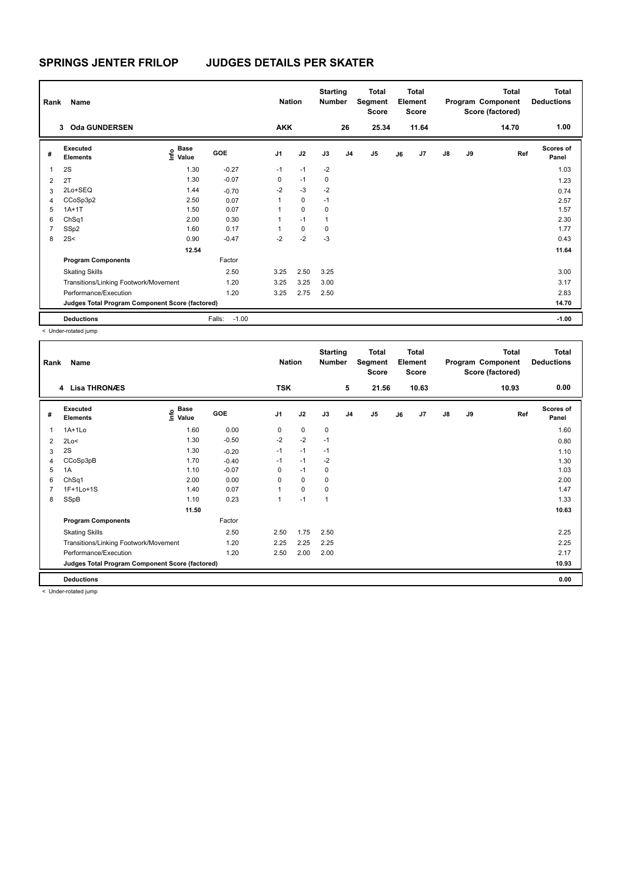| Rank           | Name                                            |                                  |                   | <b>Nation</b>  |             | <b>Starting</b><br><b>Number</b> |                | Total<br>Segment<br>Score |    | <b>Total</b><br>Element<br>Score |               |    | <b>Total</b><br>Program Component<br>Score (factored) | <b>Total</b><br><b>Deductions</b> |
|----------------|-------------------------------------------------|----------------------------------|-------------------|----------------|-------------|----------------------------------|----------------|---------------------------|----|----------------------------------|---------------|----|-------------------------------------------------------|-----------------------------------|
|                | <b>Oda GUNDERSEN</b><br>3                       |                                  |                   | <b>AKK</b>     |             |                                  | 26             | 25.34                     |    | 11.64                            |               |    | 14.70                                                 | 1.00                              |
| #              | Executed<br><b>Elements</b>                     | <b>Base</b><br>o Base<br>⊆ Value | GOE               | J <sub>1</sub> | J2          | J3                               | J <sub>4</sub> | J <sub>5</sub>            | J6 | J7                               | $\mathsf{J}8$ | J9 | Ref                                                   | <b>Scores of</b><br>Panel         |
| 1              | 2S                                              | 1.30                             | $-0.27$           | $-1$           | $-1$        | $-2$                             |                |                           |    |                                  |               |    |                                                       | 1.03                              |
| $\overline{2}$ | 2T                                              | 1.30                             | $-0.07$           | 0              | $-1$        | 0                                |                |                           |    |                                  |               |    |                                                       | 1.23                              |
| 3              | 2Lo+SEQ                                         | 1.44                             | $-0.70$           | $-2$           | $-3$        | $-2$                             |                |                           |    |                                  |               |    |                                                       | 0.74                              |
| 4              | CCoSp3p2                                        | 2.50                             | 0.07              | 1              | $\mathbf 0$ | $-1$                             |                |                           |    |                                  |               |    |                                                       | 2.57                              |
| 5              | $1A+1T$                                         | 1.50                             | 0.07              | 1              | $\mathbf 0$ | 0                                |                |                           |    |                                  |               |    |                                                       | 1.57                              |
| 6              | ChSq1                                           | 2.00                             | 0.30              | 1              | $-1$        | 1                                |                |                           |    |                                  |               |    |                                                       | 2.30                              |
| 7              | SSp2                                            | 1.60                             | 0.17              | 1              | $\mathbf 0$ | 0                                |                |                           |    |                                  |               |    |                                                       | 1.77                              |
| 8              | 2S<                                             | 0.90                             | $-0.47$           | $-2$           | $-2$        | $-3$                             |                |                           |    |                                  |               |    |                                                       | 0.43                              |
|                |                                                 | 12.54                            |                   |                |             |                                  |                |                           |    |                                  |               |    |                                                       | 11.64                             |
|                | <b>Program Components</b>                       |                                  | Factor            |                |             |                                  |                |                           |    |                                  |               |    |                                                       |                                   |
|                | <b>Skating Skills</b>                           |                                  | 2.50              | 3.25           | 2.50        | 3.25                             |                |                           |    |                                  |               |    |                                                       | 3.00                              |
|                | Transitions/Linking Footwork/Movement           |                                  | 1.20              | 3.25           | 3.25        | 3.00                             |                |                           |    |                                  |               |    |                                                       | 3.17                              |
|                | Performance/Execution                           |                                  | 1.20              | 3.25           | 2.75        | 2.50                             |                |                           |    |                                  |               |    |                                                       | 2.83                              |
|                | Judges Total Program Component Score (factored) |                                  |                   |                |             |                                  |                |                           |    |                                  |               |    |                                                       | 14.70                             |
|                | <b>Deductions</b>                               |                                  | $-1.00$<br>Falls: |                |             |                                  |                |                           |    |                                  |               |    |                                                       | $-1.00$                           |

< Under-rotated jump

| Rank | Name                                            |                                             |            | <b>Nation</b>  |             | <b>Starting</b><br><b>Number</b> |                | Total<br>Segment<br>Score |    | <b>Total</b><br>Element<br><b>Score</b> |               |    | <b>Total</b><br>Program Component<br>Score (factored) | <b>Total</b><br><b>Deductions</b> |
|------|-------------------------------------------------|---------------------------------------------|------------|----------------|-------------|----------------------------------|----------------|---------------------------|----|-----------------------------------------|---------------|----|-------------------------------------------------------|-----------------------------------|
|      | 4 Lisa THRONÆS                                  |                                             |            | <b>TSK</b>     |             |                                  | 5              | 21.56                     |    | 10.63                                   |               |    | 10.93                                                 | 0.00                              |
| #    | Executed<br><b>Elements</b>                     | <b>Base</b><br>e <sup>Base</sup><br>⊆ Value | <b>GOE</b> | J <sub>1</sub> | J2          | J3                               | J <sub>4</sub> | J <sub>5</sub>            | J6 | J7                                      | $\mathsf{J}8$ | J9 | Ref                                                   | Scores of<br>Panel                |
| 1    | $1A+1L0$                                        | 1.60                                        | 0.00       | 0              | 0           | 0                                |                |                           |    |                                         |               |    |                                                       | 1.60                              |
| 2    | 2Lo<                                            | 1.30                                        | $-0.50$    | $-2$           | $-2$        | $-1$                             |                |                           |    |                                         |               |    |                                                       | 0.80                              |
| 3    | 2S                                              | 1.30                                        | $-0.20$    | $-1$           | $-1$        | $-1$                             |                |                           |    |                                         |               |    |                                                       | 1.10                              |
| 4    | CCoSp3pB                                        | 1.70                                        | $-0.40$    | $-1$           | $-1$        | $-2$                             |                |                           |    |                                         |               |    |                                                       | 1.30                              |
| 5    | 1A                                              | 1.10                                        | $-0.07$    | 0              | $-1$        | 0                                |                |                           |    |                                         |               |    |                                                       | 1.03                              |
| 6    | ChSq1                                           | 2.00                                        | 0.00       | 0              | $\mathbf 0$ | 0                                |                |                           |    |                                         |               |    |                                                       | 2.00                              |
| 7    | $1F+1Lo+1S$                                     | 1.40                                        | 0.07       |                | $\mathbf 0$ | 0                                |                |                           |    |                                         |               |    |                                                       | 1.47                              |
| 8    | SSpB                                            | 1.10                                        | 0.23       | 1              | $-1$        | 1                                |                |                           |    |                                         |               |    |                                                       | 1.33                              |
|      |                                                 | 11.50                                       |            |                |             |                                  |                |                           |    |                                         |               |    |                                                       | 10.63                             |
|      | <b>Program Components</b>                       |                                             | Factor     |                |             |                                  |                |                           |    |                                         |               |    |                                                       |                                   |
|      | <b>Skating Skills</b>                           |                                             | 2.50       | 2.50           | 1.75        | 2.50                             |                |                           |    |                                         |               |    |                                                       | 2.25                              |
|      | Transitions/Linking Footwork/Movement           |                                             | 1.20       | 2.25           | 2.25        | 2.25                             |                |                           |    |                                         |               |    |                                                       | 2.25                              |
|      | Performance/Execution                           |                                             | 1.20       | 2.50           | 2.00        | 2.00                             |                |                           |    |                                         |               |    |                                                       | 2.17                              |
|      | Judges Total Program Component Score (factored) |                                             |            |                |             |                                  |                |                           |    |                                         |               |    |                                                       | 10.93                             |
|      | <b>Deductions</b>                               |                                             |            |                |             |                                  |                |                           |    |                                         |               |    |                                                       | 0.00                              |

< Under-rotated jump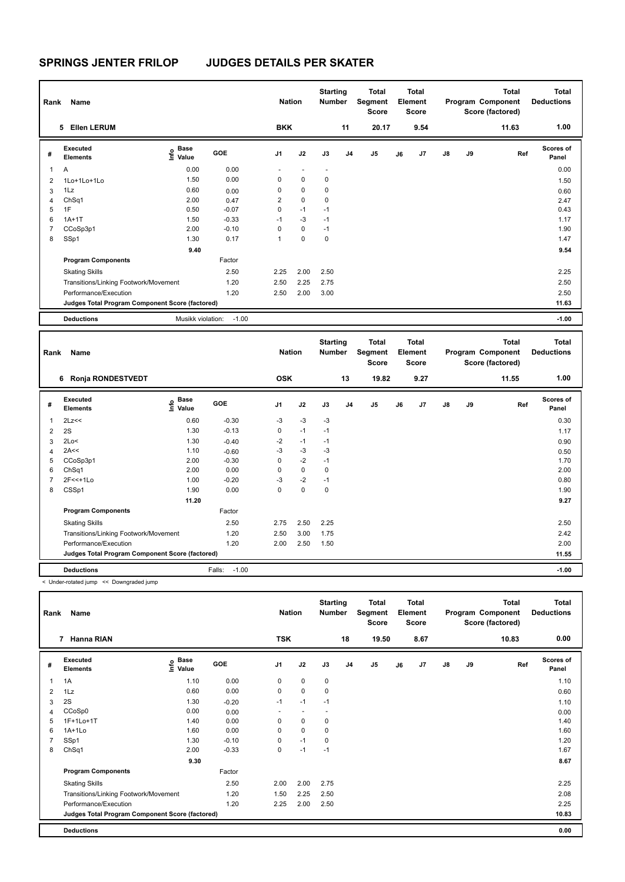| Rank           | Name                                            |                           |         | <b>Nation</b> |             | <b>Starting</b><br><b>Number</b> |                | <b>Total</b><br>Segment<br><b>Score</b> |    | Total<br>Element<br><b>Score</b> |               |    | <b>Total</b><br>Program Component<br>Score (factored) | Total<br><b>Deductions</b> |
|----------------|-------------------------------------------------|---------------------------|---------|---------------|-------------|----------------------------------|----------------|-----------------------------------------|----|----------------------------------|---------------|----|-------------------------------------------------------|----------------------------|
|                | <b>Ellen LERUM</b><br>5                         |                           |         | <b>BKK</b>    |             |                                  | 11             | 20.17                                   |    | 9.54                             |               |    | 11.63                                                 | 1.00                       |
| #              | <b>Executed</b><br><b>Elements</b>              | Base<br>o Base<br>⊆ Value | GOE     | J1            | J2          | J3                               | J <sub>4</sub> | J5                                      | J6 | J7                               | $\mathsf{J}8$ | J9 | Ref                                                   | <b>Scores of</b><br>Panel  |
| $\mathbf{1}$   | Α                                               | 0.00                      | 0.00    |               |             | $\overline{\phantom{a}}$         |                |                                         |    |                                  |               |    |                                                       | 0.00                       |
| $\overline{2}$ | 1Lo+1Lo+1Lo                                     | 1.50                      | 0.00    | 0             | 0           | 0                                |                |                                         |    |                                  |               |    |                                                       | 1.50                       |
| 3              | 1Lz                                             | 0.60                      | 0.00    | 0             | $\mathbf 0$ | 0                                |                |                                         |    |                                  |               |    |                                                       | 0.60                       |
| 4              | ChSq1                                           | 2.00                      | 0.47    | 2             | $\pmb{0}$   | 0                                |                |                                         |    |                                  |               |    |                                                       | 2.47                       |
| 5              | 1F                                              | 0.50                      | $-0.07$ | 0             | $-1$        | $-1$                             |                |                                         |    |                                  |               |    |                                                       | 0.43                       |
| 6              | $1A+1T$                                         | 1.50                      | $-0.33$ | $-1$          | $-3$        | $-1$                             |                |                                         |    |                                  |               |    |                                                       | 1.17                       |
| $\overline{7}$ | CCoSp3p1                                        | 2.00                      | $-0.10$ | 0             | $\mathbf 0$ | $-1$                             |                |                                         |    |                                  |               |    |                                                       | 1.90                       |
| 8              | SSp1                                            | 1.30                      | 0.17    | 1             | $\mathbf 0$ | 0                                |                |                                         |    |                                  |               |    |                                                       | 1.47                       |
|                |                                                 | 9.40                      |         |               |             |                                  |                |                                         |    |                                  |               |    |                                                       | 9.54                       |
|                | <b>Program Components</b>                       |                           | Factor  |               |             |                                  |                |                                         |    |                                  |               |    |                                                       |                            |
|                | <b>Skating Skills</b>                           |                           | 2.50    | 2.25          | 2.00        | 2.50                             |                |                                         |    |                                  |               |    |                                                       | 2.25                       |
|                | Transitions/Linking Footwork/Movement           |                           | 1.20    | 2.50          | 2.25        | 2.75                             |                |                                         |    |                                  |               |    |                                                       | 2.50                       |
|                | Performance/Execution                           |                           | 1.20    | 2.50          | 2.00        | 3.00                             |                |                                         |    |                                  |               |    |                                                       | 2.50                       |
|                | Judges Total Program Component Score (factored) |                           |         |               |             |                                  |                |                                         |    |                                  |               |    |                                                       | 11.63                      |
|                | <b>Deductions</b>                               | Musikk violation:         | $-1.00$ |               |             |                                  |                |                                         |    |                                  |               |    |                                                       | $-1.00$                    |

| Rank                    | Name                                            |                       |                   | <b>Nation</b>  |             | <b>Starting</b><br><b>Number</b> |                | <b>Total</b><br>Segment<br><b>Score</b> |    | Total<br>Element<br><b>Score</b> |               |    | <b>Total</b><br>Program Component<br>Score (factored) | Total<br><b>Deductions</b> |
|-------------------------|-------------------------------------------------|-----------------------|-------------------|----------------|-------------|----------------------------------|----------------|-----------------------------------------|----|----------------------------------|---------------|----|-------------------------------------------------------|----------------------------|
|                         | <b>Ronja RONDESTVEDT</b><br>6                   |                       |                   | <b>OSK</b>     |             |                                  | 13             | 19.82                                   |    | 9.27                             |               |    | 11.55                                                 | 1.00                       |
| #                       | Executed<br><b>Elements</b>                     | Base<br>Info<br>Value | GOE               | J <sub>1</sub> | J2          | J3                               | J <sub>4</sub> | J5                                      | J6 | J <sub>7</sub>                   | $\mathsf{J}8$ | J9 | Ref                                                   | Scores of<br>Panel         |
| $\overline{\mathbf{1}}$ | 2Lz<<                                           | 0.60                  | $-0.30$           | $-3$           | $-3$        | $-3$                             |                |                                         |    |                                  |               |    |                                                       | 0.30                       |
| $\overline{2}$          | 2S                                              | 1.30                  | $-0.13$           | 0              | $-1$        | $-1$                             |                |                                         |    |                                  |               |    |                                                       | 1.17                       |
| 3                       | 2Lo<                                            | 1.30                  | $-0.40$           | $-2$           | $-1$        | $-1$                             |                |                                         |    |                                  |               |    |                                                       | 0.90                       |
| 4                       | 2A<<                                            | 1.10                  | $-0.60$           | $-3$           | $-3$        | $-3$                             |                |                                         |    |                                  |               |    |                                                       | 0.50                       |
| 5                       | CCoSp3p1                                        | 2.00                  | $-0.30$           | 0              | $-2$        | $-1$                             |                |                                         |    |                                  |               |    |                                                       | 1.70                       |
| 6                       | ChSq1                                           | 2.00                  | 0.00              | 0              | $\mathbf 0$ | 0                                |                |                                         |    |                                  |               |    |                                                       | 2.00                       |
| $\overline{7}$          | $2F<<+1L0$                                      | 1.00                  | $-0.20$           | -3             | $-2$        | $-1$                             |                |                                         |    |                                  |               |    |                                                       | 0.80                       |
| 8                       | CSSp1                                           | 1.90                  | 0.00              | 0              | $\mathbf 0$ | $\mathbf 0$                      |                |                                         |    |                                  |               |    |                                                       | 1.90                       |
|                         |                                                 | 11.20                 |                   |                |             |                                  |                |                                         |    |                                  |               |    |                                                       | 9.27                       |
|                         | <b>Program Components</b>                       |                       | Factor            |                |             |                                  |                |                                         |    |                                  |               |    |                                                       |                            |
|                         | <b>Skating Skills</b>                           |                       | 2.50              | 2.75           | 2.50        | 2.25                             |                |                                         |    |                                  |               |    |                                                       | 2.50                       |
|                         | Transitions/Linking Footwork/Movement           |                       | 1.20              | 2.50           | 3.00        | 1.75                             |                |                                         |    |                                  |               |    |                                                       | 2.42                       |
|                         | Performance/Execution                           |                       | 1.20              | 2.00           | 2.50        | 1.50                             |                |                                         |    |                                  |               |    |                                                       | 2.00                       |
|                         | Judges Total Program Component Score (factored) |                       |                   |                |             |                                  |                |                                         |    |                                  |               |    |                                                       | 11.55                      |
|                         | <b>Deductions</b>                               |                       | $-1.00$<br>Falls: |                |             |                                  |                |                                         |    |                                  |               |    |                                                       | $-1.00$                    |

< Under-rotated jump << Downgraded jump

| Rank | Name                                            |                                  |            | <b>Nation</b>            |                          | <b>Starting</b><br><b>Number</b> |                | <b>Total</b><br>Segment<br><b>Score</b> |    | <b>Total</b><br>Element<br><b>Score</b> |               |    | <b>Total</b><br>Program Component<br>Score (factored) | <b>Total</b><br><b>Deductions</b> |
|------|-------------------------------------------------|----------------------------------|------------|--------------------------|--------------------------|----------------------------------|----------------|-----------------------------------------|----|-----------------------------------------|---------------|----|-------------------------------------------------------|-----------------------------------|
|      | 7 Hanna RIAN                                    |                                  |            | <b>TSK</b>               |                          |                                  | 18             | 19.50                                   |    | 8.67                                    |               |    | 10.83                                                 | 0.00                              |
| #    | Executed<br><b>Elements</b>                     | <b>Base</b><br>e Base<br>⊆ Value | <b>GOE</b> | J <sub>1</sub>           | J2                       | J3                               | J <sub>4</sub> | J <sub>5</sub>                          | J6 | J7                                      | $\mathsf{J}8$ | J9 | Ref                                                   | <b>Scores of</b><br>Panel         |
| 1    | 1A                                              | 1.10                             | 0.00       | 0                        | $\mathbf 0$              | $\mathbf 0$                      |                |                                         |    |                                         |               |    |                                                       | 1.10                              |
| 2    | 1Lz                                             | 0.60                             | 0.00       | 0                        | $\mathbf 0$              | 0                                |                |                                         |    |                                         |               |    |                                                       | 0.60                              |
| 3    | 2S                                              | 1.30                             | $-0.20$    | $-1$                     | $-1$                     | $-1$                             |                |                                         |    |                                         |               |    |                                                       | 1.10                              |
| 4    | CCoSp0                                          | 0.00                             | 0.00       | $\overline{\phantom{0}}$ | $\overline{\phantom{a}}$ | $\overline{\phantom{a}}$         |                |                                         |    |                                         |               |    |                                                       | 0.00                              |
| 5    | 1F+1Lo+1T                                       | 1.40                             | 0.00       | 0                        | 0                        | 0                                |                |                                         |    |                                         |               |    |                                                       | 1.40                              |
| 6    | $1A+1Lo$                                        | 1.60                             | 0.00       | 0                        | $\mathbf 0$              | $\mathbf 0$                      |                |                                         |    |                                         |               |    |                                                       | 1.60                              |
|      | SSp1                                            | 1.30                             | $-0.10$    | 0                        | $-1$                     | 0                                |                |                                         |    |                                         |               |    |                                                       | 1.20                              |
| 8    | ChSq1                                           | 2.00                             | $-0.33$    | $\mathbf 0$              | $-1$                     | $-1$                             |                |                                         |    |                                         |               |    |                                                       | 1.67                              |
|      |                                                 | 9.30                             |            |                          |                          |                                  |                |                                         |    |                                         |               |    |                                                       | 8.67                              |
|      | <b>Program Components</b>                       |                                  | Factor     |                          |                          |                                  |                |                                         |    |                                         |               |    |                                                       |                                   |
|      | <b>Skating Skills</b>                           |                                  | 2.50       | 2.00                     | 2.00                     | 2.75                             |                |                                         |    |                                         |               |    |                                                       | 2.25                              |
|      | Transitions/Linking Footwork/Movement           |                                  | 1.20       | 1.50                     | 2.25                     | 2.50                             |                |                                         |    |                                         |               |    |                                                       | 2.08                              |
|      | Performance/Execution                           |                                  | 1.20       | 2.25                     | 2.00                     | 2.50                             |                |                                         |    |                                         |               |    |                                                       | 2.25                              |
|      | Judges Total Program Component Score (factored) |                                  |            |                          |                          |                                  |                |                                         |    |                                         |               |    |                                                       | 10.83                             |
|      | <b>Deductions</b>                               |                                  |            |                          |                          |                                  |                |                                         |    |                                         |               |    |                                                       | 0.00                              |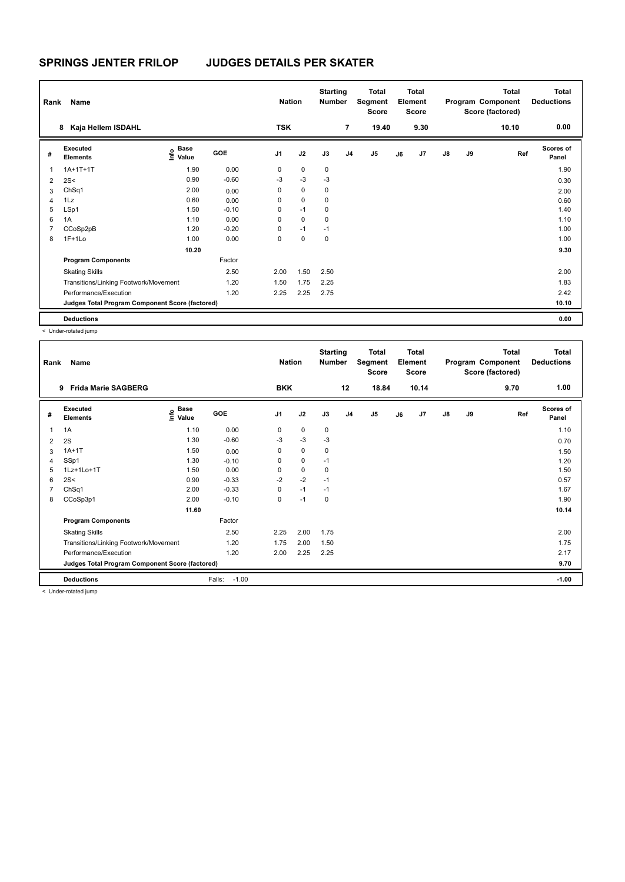| Rank | Name                                            |                                           |            | <b>Nation</b>  |             | <b>Starting</b><br><b>Number</b> |                | Total<br>Segment<br><b>Score</b> |    | <b>Total</b><br>Element<br><b>Score</b> |               |    | <b>Total</b><br>Program Component<br>Score (factored) | <b>Total</b><br><b>Deductions</b> |
|------|-------------------------------------------------|-------------------------------------------|------------|----------------|-------------|----------------------------------|----------------|----------------------------------|----|-----------------------------------------|---------------|----|-------------------------------------------------------|-----------------------------------|
|      | Kaja Hellem ISDAHL<br>8                         |                                           |            | <b>TSK</b>     |             |                                  | $\overline{7}$ | 19.40                            |    | 9.30                                    |               |    | 10.10                                                 | 0.00                              |
| #    | Executed<br><b>Elements</b>                     | $\frac{6}{5}$ Base<br>$\frac{1}{5}$ Value | <b>GOE</b> | J <sub>1</sub> | J2          | J3                               | J <sub>4</sub> | J <sub>5</sub>                   | J6 | J7                                      | $\mathsf{J}8$ | J9 | Ref                                                   | <b>Scores of</b><br>Panel         |
| 1    | $1A+1T+1T$                                      | 1.90                                      | 0.00       | 0              | $\mathbf 0$ | 0                                |                |                                  |    |                                         |               |    |                                                       | 1.90                              |
| 2    | 2S<                                             | 0.90                                      | $-0.60$    | $-3$           | $-3$        | $-3$                             |                |                                  |    |                                         |               |    |                                                       | 0.30                              |
| 3    | ChSq1                                           | 2.00                                      | 0.00       | 0              | $\mathbf 0$ | 0                                |                |                                  |    |                                         |               |    |                                                       | 2.00                              |
| 4    | 1Lz                                             | 0.60                                      | 0.00       | 0              | $\mathbf 0$ | $\mathbf 0$                      |                |                                  |    |                                         |               |    |                                                       | 0.60                              |
| 5    | LSp1                                            | 1.50                                      | $-0.10$    | 0              | $-1$        | 0                                |                |                                  |    |                                         |               |    |                                                       | 1.40                              |
| 6    | 1A                                              | 1.10                                      | 0.00       | 0              | $\mathbf 0$ | 0                                |                |                                  |    |                                         |               |    |                                                       | 1.10                              |
| 7    | CCoSp2pB                                        | 1.20                                      | $-0.20$    | 0              | $-1$        | $-1$                             |                |                                  |    |                                         |               |    |                                                       | 1.00                              |
| 8    | $1F+1Lo$                                        | 1.00                                      | 0.00       | 0              | 0           | 0                                |                |                                  |    |                                         |               |    |                                                       | 1.00                              |
|      |                                                 | 10.20                                     |            |                |             |                                  |                |                                  |    |                                         |               |    |                                                       | 9.30                              |
|      | <b>Program Components</b>                       |                                           | Factor     |                |             |                                  |                |                                  |    |                                         |               |    |                                                       |                                   |
|      | <b>Skating Skills</b>                           |                                           | 2.50       | 2.00           | 1.50        | 2.50                             |                |                                  |    |                                         |               |    |                                                       | 2.00                              |
|      | Transitions/Linking Footwork/Movement           |                                           | 1.20       | 1.50           | 1.75        | 2.25                             |                |                                  |    |                                         |               |    |                                                       | 1.83                              |
|      | Performance/Execution                           |                                           | 1.20       | 2.25           | 2.25        | 2.75                             |                |                                  |    |                                         |               |    |                                                       | 2.42                              |
|      | Judges Total Program Component Score (factored) |                                           |            |                |             |                                  |                |                                  |    |                                         |               |    |                                                       | 10.10                             |
|      | <b>Deductions</b>                               |                                           |            |                |             |                                  |                |                                  |    |                                         |               |    |                                                       | 0.00                              |

< Under-rotated jump

| Rank | Name                                            |                                  |                   | <b>Nation</b>  |             | <b>Starting</b><br><b>Number</b> |                | <b>Total</b><br>Segment<br>Score |    | <b>Total</b><br>Element<br><b>Score</b> |               |    | <b>Total</b><br>Program Component<br>Score (factored) | <b>Total</b><br><b>Deductions</b> |
|------|-------------------------------------------------|----------------------------------|-------------------|----------------|-------------|----------------------------------|----------------|----------------------------------|----|-----------------------------------------|---------------|----|-------------------------------------------------------|-----------------------------------|
|      | <b>Frida Marie SAGBERG</b><br>9                 |                                  |                   | <b>BKK</b>     |             |                                  | 12             | 18.84                            |    | 10.14                                   |               |    | 9.70                                                  | 1.00                              |
| #    | Executed<br><b>Elements</b>                     | <b>Base</b><br>e Base<br>⊆ Value | <b>GOE</b>        | J <sub>1</sub> | J2          | J3                               | J <sub>4</sub> | J <sub>5</sub>                   | J6 | J7                                      | $\mathsf{J}8$ | J9 | Ref                                                   | <b>Scores of</b><br>Panel         |
| 1    | 1A                                              | 1.10                             | 0.00              | 0              | 0           | 0                                |                |                                  |    |                                         |               |    |                                                       | 1.10                              |
| 2    | 2S                                              | 1.30                             | $-0.60$           | -3             | $-3$        | $-3$                             |                |                                  |    |                                         |               |    |                                                       | 0.70                              |
| 3    | $1A+1T$                                         | 1.50                             | 0.00              | 0              | 0           | 0                                |                |                                  |    |                                         |               |    |                                                       | 1.50                              |
| 4    | SSp1                                            | 1.30                             | $-0.10$           | 0              | $\mathbf 0$ | $-1$                             |                |                                  |    |                                         |               |    |                                                       | 1.20                              |
| 5    | 1Lz+1Lo+1T                                      | 1.50                             | 0.00              | $\Omega$       | $\mathbf 0$ | 0                                |                |                                  |    |                                         |               |    |                                                       | 1.50                              |
| 6    | 2S<                                             | 0.90                             | $-0.33$           | $-2$           | $-2$        | $-1$                             |                |                                  |    |                                         |               |    |                                                       | 0.57                              |
|      | ChSq1                                           | 2.00                             | $-0.33$           | 0              | $-1$        | $-1$                             |                |                                  |    |                                         |               |    |                                                       | 1.67                              |
| 8    | CCoSp3p1                                        | 2.00                             | $-0.10$           | 0              | $-1$        | 0                                |                |                                  |    |                                         |               |    |                                                       | 1.90                              |
|      |                                                 | 11.60                            |                   |                |             |                                  |                |                                  |    |                                         |               |    |                                                       | 10.14                             |
|      | <b>Program Components</b>                       |                                  | Factor            |                |             |                                  |                |                                  |    |                                         |               |    |                                                       |                                   |
|      | <b>Skating Skills</b>                           |                                  | 2.50              | 2.25           | 2.00        | 1.75                             |                |                                  |    |                                         |               |    |                                                       | 2.00                              |
|      | Transitions/Linking Footwork/Movement           |                                  | 1.20              | 1.75           | 2.00        | 1.50                             |                |                                  |    |                                         |               |    |                                                       | 1.75                              |
|      | Performance/Execution                           |                                  | 1.20              | 2.00           | 2.25        | 2.25                             |                |                                  |    |                                         |               |    |                                                       | 2.17                              |
|      | Judges Total Program Component Score (factored) |                                  |                   |                |             |                                  |                |                                  |    |                                         |               |    |                                                       | 9.70                              |
|      | <b>Deductions</b>                               |                                  | $-1.00$<br>Falls: |                |             |                                  |                |                                  |    |                                         |               |    |                                                       | $-1.00$                           |
|      | .                                               |                                  |                   |                |             |                                  |                |                                  |    |                                         |               |    |                                                       |                                   |

< Under-rotated jump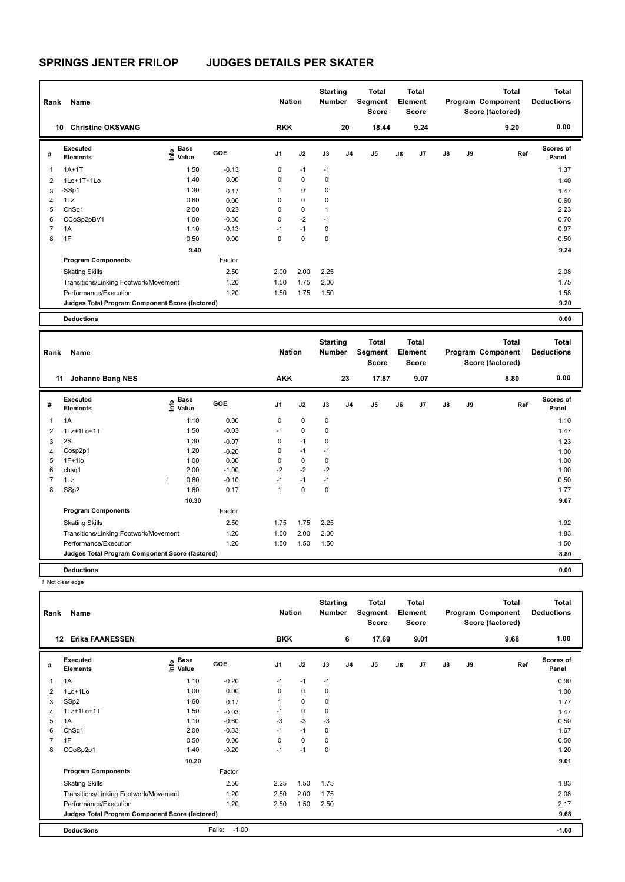| Rank           | Name                                            |                              |         | <b>Nation</b> |           | <b>Starting</b><br><b>Number</b> |                | Total<br>Segment<br><b>Score</b> |    | <b>Total</b><br>Element<br><b>Score</b> |               |    | <b>Total</b><br>Program Component<br>Score (factored) | Total<br><b>Deductions</b> |
|----------------|-------------------------------------------------|------------------------------|---------|---------------|-----------|----------------------------------|----------------|----------------------------------|----|-----------------------------------------|---------------|----|-------------------------------------------------------|----------------------------|
|                | <b>Christine OKSVANG</b><br>10                  |                              |         | <b>RKK</b>    |           |                                  | 20             | 18.44                            |    | 9.24                                    |               |    | 9.20                                                  | 0.00                       |
| #              | Executed<br><b>Elements</b>                     | <b>Base</b><br>Info<br>Value | GOE     | J1            | J2        | J3                               | J <sub>4</sub> | J5                               | J6 | J7                                      | $\mathsf{J}8$ | J9 | Ref                                                   | <b>Scores of</b><br>Panel  |
| 1              | $1A+1T$                                         | 1.50                         | $-0.13$ | 0             | $-1$      | $-1$                             |                |                                  |    |                                         |               |    |                                                       | 1.37                       |
| 2              | 1Lo+1T+1Lo                                      | 1.40                         | 0.00    | 0             | 0         | 0                                |                |                                  |    |                                         |               |    |                                                       | 1.40                       |
| 3              | SSp1                                            | 1.30                         | 0.17    | 1             | $\pmb{0}$ | 0                                |                |                                  |    |                                         |               |    |                                                       | 1.47                       |
| $\overline{4}$ | 1Lz                                             | 0.60                         | 0.00    | 0             | 0         | 0                                |                |                                  |    |                                         |               |    |                                                       | 0.60                       |
| 5              | ChSq1                                           | 2.00                         | 0.23    | 0             | $\pmb{0}$ | 1                                |                |                                  |    |                                         |               |    |                                                       | 2.23                       |
| 6              | CCoSp2pBV1                                      | 1.00                         | $-0.30$ | 0             | $-2$      | $-1$                             |                |                                  |    |                                         |               |    |                                                       | 0.70                       |
| $\overline{7}$ | 1A                                              | 1.10                         | $-0.13$ | $-1$          | $-1$      | 0                                |                |                                  |    |                                         |               |    |                                                       | 0.97                       |
| 8              | 1F                                              | 0.50                         | 0.00    | 0             | 0         | 0                                |                |                                  |    |                                         |               |    |                                                       | 0.50                       |
|                |                                                 | 9.40                         |         |               |           |                                  |                |                                  |    |                                         |               |    |                                                       | 9.24                       |
|                | <b>Program Components</b>                       |                              | Factor  |               |           |                                  |                |                                  |    |                                         |               |    |                                                       |                            |
|                | <b>Skating Skills</b>                           |                              | 2.50    | 2.00          | 2.00      | 2.25                             |                |                                  |    |                                         |               |    |                                                       | 2.08                       |
|                | Transitions/Linking Footwork/Movement           |                              | 1.20    | 1.50          | 1.75      | 2.00                             |                |                                  |    |                                         |               |    |                                                       | 1.75                       |
|                | Performance/Execution                           |                              | 1.20    | 1.50          | 1.75      | 1.50                             |                |                                  |    |                                         |               |    |                                                       | 1.58                       |
|                | Judges Total Program Component Score (factored) |                              |         |               |           |                                  |                |                                  |    |                                         |               |    |                                                       | 9.20                       |
|                | <b>Deductions</b>                               |                              |         |               |           |                                  |                |                                  |    |                                         |               |    |                                                       | 0.00                       |

| Rank           | Name                                            |    |                                                          |            | <b>Nation</b>  |             | <b>Starting</b><br><b>Number</b> |                | <b>Total</b><br>Segment<br><b>Score</b> |    | <b>Total</b><br>Element<br><b>Score</b> |               |    | <b>Total</b><br>Program Component<br>Score (factored) | <b>Total</b><br><b>Deductions</b> |
|----------------|-------------------------------------------------|----|----------------------------------------------------------|------------|----------------|-------------|----------------------------------|----------------|-----------------------------------------|----|-----------------------------------------|---------------|----|-------------------------------------------------------|-----------------------------------|
|                | Johanne Bang NES<br>11                          |    |                                                          |            | <b>AKK</b>     |             |                                  | 23             | 17.87                                   |    | 9.07                                    |               |    | 8.80                                                  | 0.00                              |
| #              | <b>Executed</b><br><b>Elements</b>              |    | <b>Base</b><br>$\frac{e}{E}$ Base<br>$\frac{e}{E}$ Value | <b>GOE</b> | J <sub>1</sub> | J2          | J3                               | J <sub>4</sub> | J <sub>5</sub>                          | J6 | J7                                      | $\mathsf{J}8$ | J9 | Ref                                                   | Scores of<br>Panel                |
| 1              | 1A                                              |    | 1.10                                                     | 0.00       | $\mathbf 0$    | $\mathbf 0$ | $\mathbf 0$                      |                |                                         |    |                                         |               |    |                                                       | 1.10                              |
| 2              | 1Lz+1Lo+1T                                      |    | 1.50                                                     | $-0.03$    | $-1$           | $\mathbf 0$ | $\mathbf 0$                      |                |                                         |    |                                         |               |    |                                                       | 1.47                              |
| 3              | 2S                                              |    | 1.30                                                     | $-0.07$    | 0              | $-1$        | $\mathbf 0$                      |                |                                         |    |                                         |               |    |                                                       | 1.23                              |
| 4              | Cosp2p1                                         |    | 1.20                                                     | $-0.20$    | 0              | $-1$        | $-1$                             |                |                                         |    |                                         |               |    |                                                       | 1.00                              |
| 5              | $1F+1lo$                                        |    | 1.00                                                     | 0.00       | 0              | $\mathbf 0$ | $\mathbf 0$                      |                |                                         |    |                                         |               |    |                                                       | 1.00                              |
| 6              | chsq1                                           |    | 2.00                                                     | $-1.00$    | $-2$           | $-2$        | $-2$                             |                |                                         |    |                                         |               |    |                                                       | 1.00                              |
| $\overline{7}$ | 1Lz                                             | л. | 0.60                                                     | $-0.10$    | $-1$           | $-1$        | $-1$                             |                |                                         |    |                                         |               |    |                                                       | 0.50                              |
| 8              | SSp2                                            |    | 1.60                                                     | 0.17       | 1              | $\mathbf 0$ | $\mathbf 0$                      |                |                                         |    |                                         |               |    |                                                       | 1.77                              |
|                |                                                 |    | 10.30                                                    |            |                |             |                                  |                |                                         |    |                                         |               |    |                                                       | 9.07                              |
|                | <b>Program Components</b>                       |    |                                                          | Factor     |                |             |                                  |                |                                         |    |                                         |               |    |                                                       |                                   |
|                | <b>Skating Skills</b>                           |    |                                                          | 2.50       | 1.75           | 1.75        | 2.25                             |                |                                         |    |                                         |               |    |                                                       | 1.92                              |
|                | Transitions/Linking Footwork/Movement           |    |                                                          | 1.20       | 1.50           | 2.00        | 2.00                             |                |                                         |    |                                         |               |    |                                                       | 1.83                              |
|                | Performance/Execution                           |    |                                                          | 1.20       | 1.50           | 1.50        | 1.50                             |                |                                         |    |                                         |               |    |                                                       | 1.50                              |
|                | Judges Total Program Component Score (factored) |    |                                                          |            |                |             |                                  |                |                                         |    |                                         |               |    |                                                       | 8.80                              |
|                | <b>Deductions</b>                               |    |                                                          |            |                |             |                                  |                |                                         |    |                                         |               |    |                                                       | 0.00                              |

! Not clear edge

| Rank | Name                                            |                           |                   | <b>Nation</b>  |             | <b>Starting</b><br><b>Number</b> |                | Total<br>Segment<br><b>Score</b> |    | Total<br>Element<br><b>Score</b> |               |    | <b>Total</b><br>Program Component<br>Score (factored) | <b>Total</b><br><b>Deductions</b> |
|------|-------------------------------------------------|---------------------------|-------------------|----------------|-------------|----------------------------------|----------------|----------------------------------|----|----------------------------------|---------------|----|-------------------------------------------------------|-----------------------------------|
|      | <b>Erika FAANESSEN</b><br>$12 \,$               |                           |                   | <b>BKK</b>     |             |                                  | 6              | 17.69                            |    | 9.01                             |               |    | 9.68                                                  | 1.00                              |
| #    | <b>Executed</b><br><b>Elements</b>              | <b>Base</b><br>۴<br>Value | <b>GOE</b>        | J <sub>1</sub> | J2          | J3                               | J <sub>4</sub> | J <sub>5</sub>                   | J6 | J7                               | $\mathsf{J}8$ | J9 | Ref                                                   | <b>Scores of</b><br>Panel         |
| 1    | 1A                                              | 1.10                      | $-0.20$           | $-1$           | $-1$        | $-1$                             |                |                                  |    |                                  |               |    |                                                       | 0.90                              |
| 2    | $1$ Lo $+1$ Lo                                  | 1.00                      | 0.00              | 0              | 0           | 0                                |                |                                  |    |                                  |               |    |                                                       | 1.00                              |
| 3    | SSp2                                            | 1.60                      | 0.17              | 1              | 0           | 0                                |                |                                  |    |                                  |               |    |                                                       | 1.77                              |
| 4    | 1Lz+1Lo+1T                                      | 1.50                      | $-0.03$           | $-1$           | $\mathbf 0$ | 0                                |                |                                  |    |                                  |               |    |                                                       | 1.47                              |
| 5    | 1A                                              | 1.10                      | $-0.60$           | $-3$           | $-3$        | $-3$                             |                |                                  |    |                                  |               |    |                                                       | 0.50                              |
| 6    | ChSq1                                           | 2.00                      | $-0.33$           | $-1$           | $-1$        | 0                                |                |                                  |    |                                  |               |    |                                                       | 1.67                              |
|      | 1F                                              | 0.50                      | 0.00              | $\Omega$       | 0           | 0                                |                |                                  |    |                                  |               |    |                                                       | 0.50                              |
| 8    | CCoSp2p1                                        | 1.40                      | $-0.20$           | $-1$           | $-1$        | 0                                |                |                                  |    |                                  |               |    |                                                       | 1.20                              |
|      |                                                 | 10.20                     |                   |                |             |                                  |                |                                  |    |                                  |               |    |                                                       | 9.01                              |
|      | <b>Program Components</b>                       |                           | Factor            |                |             |                                  |                |                                  |    |                                  |               |    |                                                       |                                   |
|      | <b>Skating Skills</b>                           |                           | 2.50              | 2.25           | 1.50        | 1.75                             |                |                                  |    |                                  |               |    |                                                       | 1.83                              |
|      | Transitions/Linking Footwork/Movement           |                           | 1.20              | 2.50           | 2.00        | 1.75                             |                |                                  |    |                                  |               |    |                                                       | 2.08                              |
|      | Performance/Execution                           |                           | 1.20              | 2.50           | 1.50        | 2.50                             |                |                                  |    |                                  |               |    |                                                       | 2.17                              |
|      | Judges Total Program Component Score (factored) |                           |                   |                |             |                                  |                |                                  |    |                                  |               |    |                                                       | 9.68                              |
|      | <b>Deductions</b>                               |                           | $-1.00$<br>Falls: |                |             |                                  |                |                                  |    |                                  |               |    |                                                       | $-1.00$                           |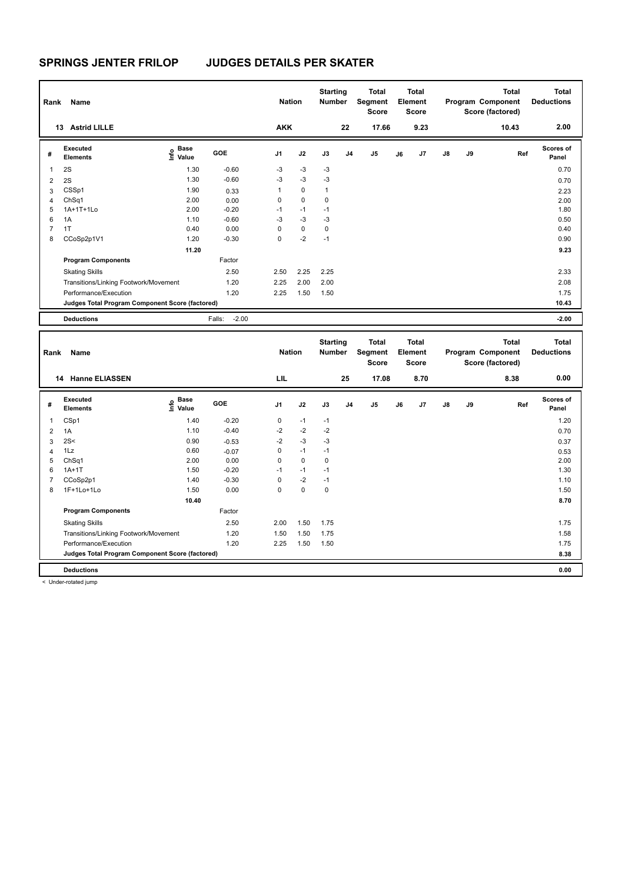| Rank           | Name                                            |                              | <b>Nation</b>     |                | <b>Starting</b><br><b>Number</b> |              | <b>Total</b><br>Segment<br><b>Score</b> |                | Total<br>Element<br><b>Score</b> |      |               | <b>Total</b><br>Program Component<br>Score (factored) | <b>Total</b><br><b>Deductions</b> |                    |
|----------------|-------------------------------------------------|------------------------------|-------------------|----------------|----------------------------------|--------------|-----------------------------------------|----------------|----------------------------------|------|---------------|-------------------------------------------------------|-----------------------------------|--------------------|
|                | <b>Astrid LILLE</b><br>13                       |                              |                   | <b>AKK</b>     |                                  |              | 22                                      | 17.66          |                                  | 9.23 |               |                                                       | 10.43                             | 2.00               |
| #              | Executed<br><b>Elements</b>                     | <b>Base</b><br>Info<br>Value | GOE               | J <sub>1</sub> | J2                               | J3           | J <sub>4</sub>                          | J <sub>5</sub> | J6                               | J7   | $\mathsf{J}8$ | J9                                                    | Ref                               | Scores of<br>Panel |
| $\overline{1}$ | 2S                                              | 1.30                         | $-0.60$           | $-3$           | $-3$                             | $-3$         |                                         |                |                                  |      |               |                                                       |                                   | 0.70               |
| $\overline{2}$ | 2S                                              | 1.30                         | $-0.60$           | $-3$           | $-3$                             | $-3$         |                                         |                |                                  |      |               |                                                       |                                   | 0.70               |
| 3              | CSSp1                                           | 1.90                         | 0.33              | 1              | 0                                | $\mathbf{1}$ |                                         |                |                                  |      |               |                                                       |                                   | 2.23               |
| 4              | ChSq1                                           | 2.00                         | 0.00              | 0              | $\mathbf 0$                      | 0            |                                         |                |                                  |      |               |                                                       |                                   | 2.00               |
| 5              | 1A+1T+1Lo                                       | 2.00                         | $-0.20$           | $-1$           | $-1$                             | $-1$         |                                         |                |                                  |      |               |                                                       |                                   | 1.80               |
| 6              | 1A                                              | 1.10                         | $-0.60$           | $-3$           | $-3$                             | $-3$         |                                         |                |                                  |      |               |                                                       |                                   | 0.50               |
| 7              | 1T                                              | 0.40                         | 0.00              | 0              | 0                                | 0            |                                         |                |                                  |      |               |                                                       |                                   | 0.40               |
| 8              | CCoSp2p1V1                                      | 1.20                         | $-0.30$           | 0              | $-2$                             | $-1$         |                                         |                |                                  |      |               |                                                       |                                   | 0.90               |
|                |                                                 | 11.20                        |                   |                |                                  |              |                                         |                |                                  |      |               |                                                       |                                   | 9.23               |
|                | <b>Program Components</b>                       |                              | Factor            |                |                                  |              |                                         |                |                                  |      |               |                                                       |                                   |                    |
|                | <b>Skating Skills</b>                           |                              | 2.50              | 2.50           | 2.25                             | 2.25         |                                         |                |                                  |      |               |                                                       |                                   | 2.33               |
|                | Transitions/Linking Footwork/Movement           |                              | 1.20              | 2.25           | 2.00                             | 2.00         |                                         |                |                                  |      |               |                                                       |                                   | 2.08               |
|                | Performance/Execution                           |                              | 1.20              | 2.25           | 1.50                             | 1.50         |                                         |                |                                  |      |               |                                                       |                                   | 1.75               |
|                | Judges Total Program Component Score (factored) |                              |                   |                |                                  |              |                                         |                |                                  |      |               |                                                       |                                   | 10.43              |
|                | <b>Deductions</b>                               |                              | $-2.00$<br>Falls: |                |                                  |              |                                         |                |                                  |      |               |                                                       |                                   | $-2.00$            |

| Rank           | Name                                            |                           |         | <b>Nation</b>  |             | <b>Starting</b><br><b>Number</b> |                | <b>Total</b><br>Segment<br><b>Score</b> |    | <b>Total</b><br>Element<br><b>Score</b> |               |    | <b>Total</b><br>Program Component<br>Score (factored) | <b>Total</b><br><b>Deductions</b> |
|----------------|-------------------------------------------------|---------------------------|---------|----------------|-------------|----------------------------------|----------------|-----------------------------------------|----|-----------------------------------------|---------------|----|-------------------------------------------------------|-----------------------------------|
|                | <b>Hanne ELIASSEN</b><br>14                     |                           |         | LIL            |             |                                  | 25             | 17.08                                   |    | 8.70                                    |               |    | 8.38                                                  | 0.00                              |
| #              | Executed<br><b>Elements</b>                     | Base<br>o Base<br>⊆ Value | GOE     | J <sub>1</sub> | J2          | J3                               | J <sub>4</sub> | J <sub>5</sub>                          | J6 | J7                                      | $\mathsf{J}8$ | J9 | Ref                                                   | <b>Scores of</b><br>Panel         |
| 1              | CSp1                                            | 1.40                      | $-0.20$ | 0              | $-1$        | $-1$                             |                |                                         |    |                                         |               |    |                                                       | 1.20                              |
| $\overline{2}$ | 1A                                              | 1.10                      | $-0.40$ | $-2$           | $-2$        | $-2$                             |                |                                         |    |                                         |               |    |                                                       | 0.70                              |
| 3              | 2S<                                             | 0.90                      | $-0.53$ | $-2$           | $-3$        | $-3$                             |                |                                         |    |                                         |               |    |                                                       | 0.37                              |
| 4              | 1Lz                                             | 0.60                      | $-0.07$ | 0              | $-1$        | $-1$                             |                |                                         |    |                                         |               |    |                                                       | 0.53                              |
| 5              | ChSq1                                           | 2.00                      | 0.00    | 0              | $\mathbf 0$ | 0                                |                |                                         |    |                                         |               |    |                                                       | 2.00                              |
| 6              | $1A+1T$                                         | 1.50                      | $-0.20$ | $-1$           | $-1$        | $-1$                             |                |                                         |    |                                         |               |    |                                                       | 1.30                              |
| 7              | CCoSp2p1                                        | 1.40                      | $-0.30$ | 0              | $-2$        | $-1$                             |                |                                         |    |                                         |               |    |                                                       | 1.10                              |
| 8              | 1F+1Lo+1Lo                                      | 1.50                      | 0.00    | 0              | $\mathbf 0$ | 0                                |                |                                         |    |                                         |               |    |                                                       | 1.50                              |
|                |                                                 | 10.40                     |         |                |             |                                  |                |                                         |    |                                         |               |    |                                                       | 8.70                              |
|                | <b>Program Components</b>                       |                           | Factor  |                |             |                                  |                |                                         |    |                                         |               |    |                                                       |                                   |
|                | <b>Skating Skills</b>                           |                           | 2.50    | 2.00           | 1.50        | 1.75                             |                |                                         |    |                                         |               |    |                                                       | 1.75                              |
|                | Transitions/Linking Footwork/Movement           |                           | 1.20    | 1.50           | 1.50        | 1.75                             |                |                                         |    |                                         |               |    |                                                       | 1.58                              |
|                | Performance/Execution                           |                           | 1.20    | 2.25           | 1.50        | 1.50                             |                |                                         |    |                                         |               |    |                                                       | 1.75                              |
|                | Judges Total Program Component Score (factored) |                           |         |                |             |                                  |                |                                         |    |                                         |               |    |                                                       | 8.38                              |
|                | <b>Deductions</b>                               |                           |         |                |             |                                  |                |                                         |    |                                         |               |    |                                                       | 0.00                              |

< Under-rotated jump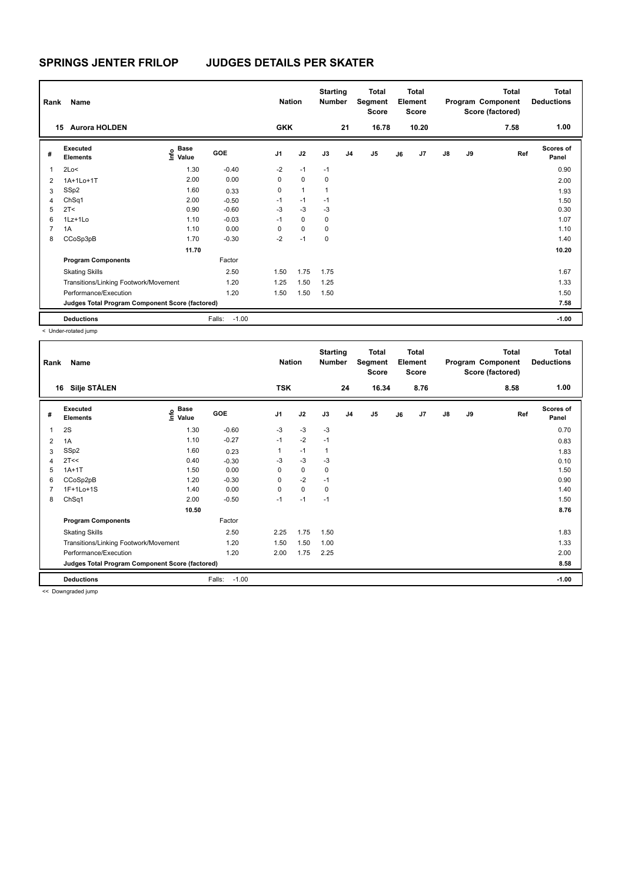| Rank           | Name                                            |                                  |                   | <b>Nation</b>  |              | <b>Starting</b><br><b>Number</b> |                | Total<br>Segment<br>Score |    | <b>Total</b><br>Element<br>Score |               |    | <b>Total</b><br>Program Component<br>Score (factored) | <b>Total</b><br><b>Deductions</b> |
|----------------|-------------------------------------------------|----------------------------------|-------------------|----------------|--------------|----------------------------------|----------------|---------------------------|----|----------------------------------|---------------|----|-------------------------------------------------------|-----------------------------------|
|                | <b>Aurora HOLDEN</b><br>15                      |                                  |                   | <b>GKK</b>     |              |                                  | 21             | 16.78                     |    | 10.20                            |               |    | 7.58                                                  | 1.00                              |
| #              | Executed<br><b>Elements</b>                     | <b>Base</b><br>o Base<br>⊆ Value | GOE               | J <sub>1</sub> | J2           | J3                               | J <sub>4</sub> | J <sub>5</sub>            | J6 | J7                               | $\mathsf{J}8$ | J9 | Ref                                                   | <b>Scores of</b><br>Panel         |
| 1              | 2Lo<                                            | 1.30                             | $-0.40$           | $-2$           | $-1$         | $-1$                             |                |                           |    |                                  |               |    |                                                       | 0.90                              |
| $\overline{2}$ | 1A+1Lo+1T                                       | 2.00                             | 0.00              | 0              | $\mathbf 0$  | 0                                |                |                           |    |                                  |               |    |                                                       | 2.00                              |
| 3              | SSp2                                            | 1.60                             | 0.33              | 0              | $\mathbf{1}$ | 1                                |                |                           |    |                                  |               |    |                                                       | 1.93                              |
| 4              | ChSq1                                           | 2.00                             | $-0.50$           | $-1$           | $-1$         | $-1$                             |                |                           |    |                                  |               |    |                                                       | 1.50                              |
| 5              | 2T<                                             | 0.90                             | $-0.60$           | $-3$           | $-3$         | $-3$                             |                |                           |    |                                  |               |    |                                                       | 0.30                              |
| 6              | 1Lz+1Lo                                         | 1.10                             | $-0.03$           | $-1$           | $\mathbf 0$  | 0                                |                |                           |    |                                  |               |    |                                                       | 1.07                              |
| 7              | 1A                                              | 1.10                             | 0.00              | 0              | $\mathbf 0$  | 0                                |                |                           |    |                                  |               |    |                                                       | 1.10                              |
| 8              | CCoSp3pB                                        | 1.70                             | $-0.30$           | $-2$           | $-1$         | 0                                |                |                           |    |                                  |               |    |                                                       | 1.40                              |
|                |                                                 | 11.70                            |                   |                |              |                                  |                |                           |    |                                  |               |    |                                                       | 10.20                             |
|                | <b>Program Components</b>                       |                                  | Factor            |                |              |                                  |                |                           |    |                                  |               |    |                                                       |                                   |
|                | <b>Skating Skills</b>                           |                                  | 2.50              | 1.50           | 1.75         | 1.75                             |                |                           |    |                                  |               |    |                                                       | 1.67                              |
|                | Transitions/Linking Footwork/Movement           |                                  | 1.20              | 1.25           | 1.50         | 1.25                             |                |                           |    |                                  |               |    |                                                       | 1.33                              |
|                | Performance/Execution                           |                                  | 1.20              | 1.50           | 1.50         | 1.50                             |                |                           |    |                                  |               |    |                                                       | 1.50                              |
|                | Judges Total Program Component Score (factored) |                                  |                   |                |              |                                  |                |                           |    |                                  |               |    |                                                       | 7.58                              |
|                | <b>Deductions</b>                               |                                  | $-1.00$<br>Falls: |                |              |                                  |                |                           |    |                                  |               |    |                                                       | $-1.00$                           |

< Under-rotated jump

| Rank | Name                                            |                                      | <b>Nation</b>     |                | <b>Starting</b><br>Number |      | <b>Total</b><br>Segment<br><b>Score</b> |                | <b>Total</b><br>Element<br><b>Score</b> |      |               | <b>Total</b><br>Program Component<br>Score (factored) | <b>Total</b><br><b>Deductions</b> |                           |
|------|-------------------------------------------------|--------------------------------------|-------------------|----------------|---------------------------|------|-----------------------------------------|----------------|-----------------------------------------|------|---------------|-------------------------------------------------------|-----------------------------------|---------------------------|
| 16   | Silje STÅLEN                                    |                                      |                   | <b>TSK</b>     |                           |      | 24                                      | 16.34          |                                         | 8.76 |               |                                                       | 8.58                              | 1.00                      |
| #    | <b>Executed</b><br><b>Elements</b>              | Base<br>e <sup>Base</sup><br>⊆ Value | <b>GOE</b>        | J <sub>1</sub> | J2                        | J3   | J <sub>4</sub>                          | J <sub>5</sub> | J6                                      | J7   | $\mathsf{J}8$ | J9                                                    | Ref                               | <b>Scores of</b><br>Panel |
| 1    | 2S                                              | 1.30                                 | $-0.60$           | $-3$           | $-3$                      | $-3$ |                                         |                |                                         |      |               |                                                       |                                   | 0.70                      |
| 2    | 1A                                              | 1.10                                 | $-0.27$           | $-1$           | $-2$                      | $-1$ |                                         |                |                                         |      |               |                                                       |                                   | 0.83                      |
| 3    | SSp2                                            | 1.60                                 | 0.23              |                | $-1$                      | 1    |                                         |                |                                         |      |               |                                                       |                                   | 1.83                      |
| 4    | 2T<<                                            | 0.40                                 | $-0.30$           | $-3$           | $-3$                      | -3   |                                         |                |                                         |      |               |                                                       |                                   | 0.10                      |
| 5    | $1A+1T$                                         | 1.50                                 | 0.00              | 0              | 0                         | 0    |                                         |                |                                         |      |               |                                                       |                                   | 1.50                      |
| 6    | CCoSp2pB                                        | 1.20                                 | $-0.30$           | 0              | $-2$                      | $-1$ |                                         |                |                                         |      |               |                                                       |                                   | 0.90                      |
| 7    | 1F+1Lo+1S                                       | 1.40                                 | 0.00              | $\Omega$       | $\mathbf 0$               | 0    |                                         |                |                                         |      |               |                                                       |                                   | 1.40                      |
| 8    | ChSq1                                           | 2.00                                 | $-0.50$           | $-1$           | $-1$                      | $-1$ |                                         |                |                                         |      |               |                                                       |                                   | 1.50                      |
|      |                                                 | 10.50                                |                   |                |                           |      |                                         |                |                                         |      |               |                                                       |                                   | 8.76                      |
|      | <b>Program Components</b>                       |                                      | Factor            |                |                           |      |                                         |                |                                         |      |               |                                                       |                                   |                           |
|      | <b>Skating Skills</b>                           |                                      | 2.50              | 2.25           | 1.75                      | 1.50 |                                         |                |                                         |      |               |                                                       |                                   | 1.83                      |
|      | Transitions/Linking Footwork/Movement           |                                      | 1.20              | 1.50           | 1.50                      | 1.00 |                                         |                |                                         |      |               |                                                       |                                   | 1.33                      |
|      | Performance/Execution                           |                                      | 1.20              | 2.00           | 1.75                      | 2.25 |                                         |                |                                         |      |               |                                                       |                                   | 2.00                      |
|      | Judges Total Program Component Score (factored) |                                      |                   |                |                           |      |                                         |                |                                         |      |               |                                                       |                                   | 8.58                      |
|      | <b>Deductions</b>                               |                                      | $-1.00$<br>Falls: |                |                           |      |                                         |                |                                         |      |               |                                                       |                                   | $-1.00$                   |

<< Downgraded jump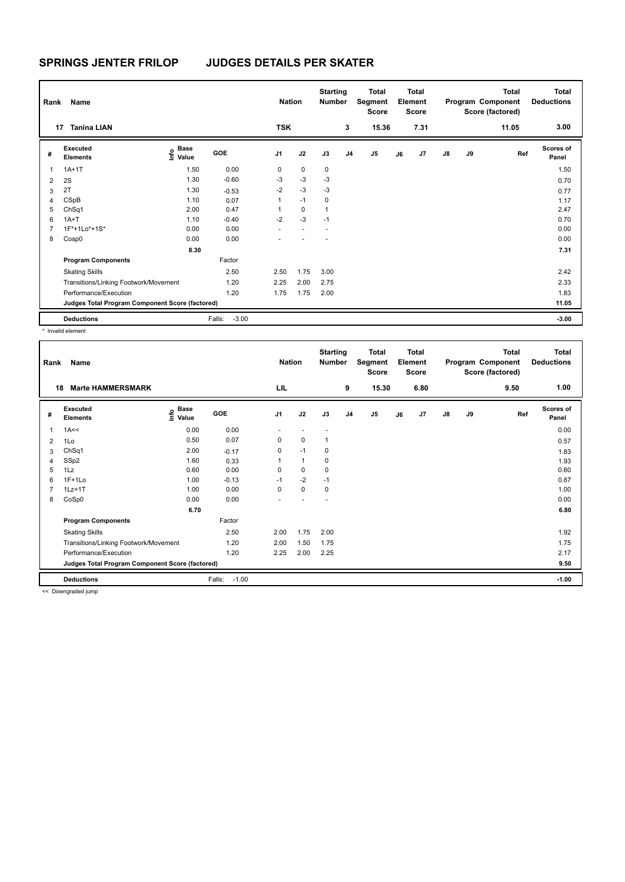| Rank<br>17 | Name<br><b>Tanina LIAN</b>                      |                                  |                   | <b>Nation</b><br><b>TSK</b> |             | <b>Starting</b><br><b>Number</b> | 3              | Total<br>Segment<br><b>Score</b><br>15.36 |    | Total<br>Element<br>Score<br>7.31 |               |    | <b>Total</b><br>Program Component<br>Score (factored)<br>11.05 | Total<br><b>Deductions</b><br>3.00 |
|------------|-------------------------------------------------|----------------------------------|-------------------|-----------------------------|-------------|----------------------------------|----------------|-------------------------------------------|----|-----------------------------------|---------------|----|----------------------------------------------------------------|------------------------------------|
| #          | Executed<br><b>Elements</b>                     | <b>Base</b><br>o Base<br>⊆ Value | GOE               | J <sub>1</sub>              | J2          | J3                               | J <sub>4</sub> | J <sub>5</sub>                            | J6 | J7                                | $\mathsf{J}8$ | J9 | Ref                                                            | <b>Scores of</b><br>Panel          |
| 1          | $1A+1T$                                         | 1.50                             | 0.00              | 0                           | $\mathbf 0$ | 0                                |                |                                           |    |                                   |               |    |                                                                | 1.50                               |
| 2          | 2S                                              | 1.30                             | $-0.60$           | -3                          | $-3$        | $-3$                             |                |                                           |    |                                   |               |    |                                                                | 0.70                               |
| 3          | 2T                                              | 1.30                             | $-0.53$           | $-2$                        | $-3$        | $-3$                             |                |                                           |    |                                   |               |    |                                                                | 0.77                               |
| 4          | CSpB                                            | 1.10                             | 0.07              | $\mathbf{1}$                | $-1$        | 0                                |                |                                           |    |                                   |               |    |                                                                | 1.17                               |
| 5          | ChSq1                                           | 2.00                             | 0.47              |                             | $\mathbf 0$ | 1                                |                |                                           |    |                                   |               |    |                                                                | 2.47                               |
| 6          | $1A+T$                                          | 1.10                             | $-0.40$           | $-2$                        | $-3$        | $-1$                             |                |                                           |    |                                   |               |    |                                                                | 0.70                               |
| 7          | 1F*+1Lo*+1S*                                    | 0.00                             | 0.00              |                             |             |                                  |                |                                           |    |                                   |               |    |                                                                | 0.00                               |
| 8          | Cosp0                                           | 0.00                             | 0.00              |                             |             |                                  |                |                                           |    |                                   |               |    |                                                                | 0.00                               |
|            |                                                 | 8.30                             |                   |                             |             |                                  |                |                                           |    |                                   |               |    |                                                                | 7.31                               |
|            | <b>Program Components</b>                       |                                  | Factor            |                             |             |                                  |                |                                           |    |                                   |               |    |                                                                |                                    |
|            | <b>Skating Skills</b>                           |                                  | 2.50              | 2.50                        | 1.75        | 3.00                             |                |                                           |    |                                   |               |    |                                                                | 2.42                               |
|            | Transitions/Linking Footwork/Movement           |                                  | 1.20              | 2.25                        | 2.00        | 2.75                             |                |                                           |    |                                   |               |    |                                                                | 2.33                               |
|            | Performance/Execution                           |                                  | 1.20              | 1.75                        | 1.75        | 2.00                             |                |                                           |    |                                   |               |    |                                                                | 1.83                               |
|            | Judges Total Program Component Score (factored) |                                  |                   |                             |             |                                  |                |                                           |    |                                   |               |    |                                                                | 11.05                              |
|            | <b>Deductions</b>                               |                                  | $-3.00$<br>Falls: |                             |             |                                  |                |                                           |    |                                   |               |    |                                                                | $-3.00$                            |

\* Invalid element

| Rank | Name                                            |                                             |                   | <b>Nation</b>  |              | <b>Starting</b><br><b>Number</b> |                | <b>Total</b><br>Segment<br><b>Score</b> |    | <b>Total</b><br>Element<br><b>Score</b> |               |    | <b>Total</b><br>Program Component<br>Score (factored) | Total<br><b>Deductions</b> |
|------|-------------------------------------------------|---------------------------------------------|-------------------|----------------|--------------|----------------------------------|----------------|-----------------------------------------|----|-----------------------------------------|---------------|----|-------------------------------------------------------|----------------------------|
| 18   | <b>Marte HAMMERSMARK</b>                        |                                             |                   | LIL            |              |                                  | 9              | 15.30                                   |    | 6.80                                    |               |    | 9.50                                                  | 1.00                       |
| #    | Executed<br><b>Elements</b>                     | <b>Base</b><br>e <sup>Base</sup><br>⊆ Value | GOE               | J <sub>1</sub> | J2           | J3                               | J <sub>4</sub> | J5                                      | J6 | J7                                      | $\mathsf{J}8$ | J9 | Ref                                                   | <b>Scores of</b><br>Panel  |
| 1    | 1A<<                                            | 0.00                                        | 0.00              |                |              |                                  |                |                                         |    |                                         |               |    |                                                       | 0.00                       |
| 2    | 1Lo                                             | 0.50                                        | 0.07              | $\mathbf 0$    | $\mathbf 0$  | 1                                |                |                                         |    |                                         |               |    |                                                       | 0.57                       |
| 3    | Ch <sub>Sq1</sub>                               | 2.00                                        | $-0.17$           | 0              | $-1$         | 0                                |                |                                         |    |                                         |               |    |                                                       | 1.83                       |
| 4    | SSp2                                            | 1.60                                        | 0.33              |                | $\mathbf{1}$ | 0                                |                |                                         |    |                                         |               |    |                                                       | 1.93                       |
| 5    | 1Lz                                             | 0.60                                        | 0.00              | 0              | $\mathbf 0$  | $\mathbf 0$                      |                |                                         |    |                                         |               |    |                                                       | 0.60                       |
| 6    | $1F+1Lo$                                        | 1.00                                        | $-0.13$           | $-1$           | $-2$         | $-1$                             |                |                                         |    |                                         |               |    |                                                       | 0.87                       |
| 7    | $1Lz+1T$                                        | 1.00                                        | 0.00              | 0              | $\mathbf 0$  | 0                                |                |                                         |    |                                         |               |    |                                                       | 1.00                       |
| 8    | CoSp0                                           | 0.00                                        | 0.00              |                |              |                                  |                |                                         |    |                                         |               |    |                                                       | 0.00                       |
|      |                                                 | 6.70                                        |                   |                |              |                                  |                |                                         |    |                                         |               |    |                                                       | 6.80                       |
|      | <b>Program Components</b>                       |                                             | Factor            |                |              |                                  |                |                                         |    |                                         |               |    |                                                       |                            |
|      | <b>Skating Skills</b>                           |                                             | 2.50              | 2.00           | 1.75         | 2.00                             |                |                                         |    |                                         |               |    |                                                       | 1.92                       |
|      | Transitions/Linking Footwork/Movement           |                                             | 1.20              | 2.00           | 1.50         | 1.75                             |                |                                         |    |                                         |               |    |                                                       | 1.75                       |
|      | Performance/Execution                           |                                             | 1.20              | 2.25           | 2.00         | 2.25                             |                |                                         |    |                                         |               |    |                                                       | 2.17                       |
|      | Judges Total Program Component Score (factored) |                                             |                   |                |              |                                  |                |                                         |    |                                         |               |    |                                                       | 9.50                       |
|      | <b>Deductions</b>                               |                                             | Falls:<br>$-1.00$ |                |              |                                  |                |                                         |    |                                         |               |    |                                                       | $-1.00$                    |

<< Downgraded jump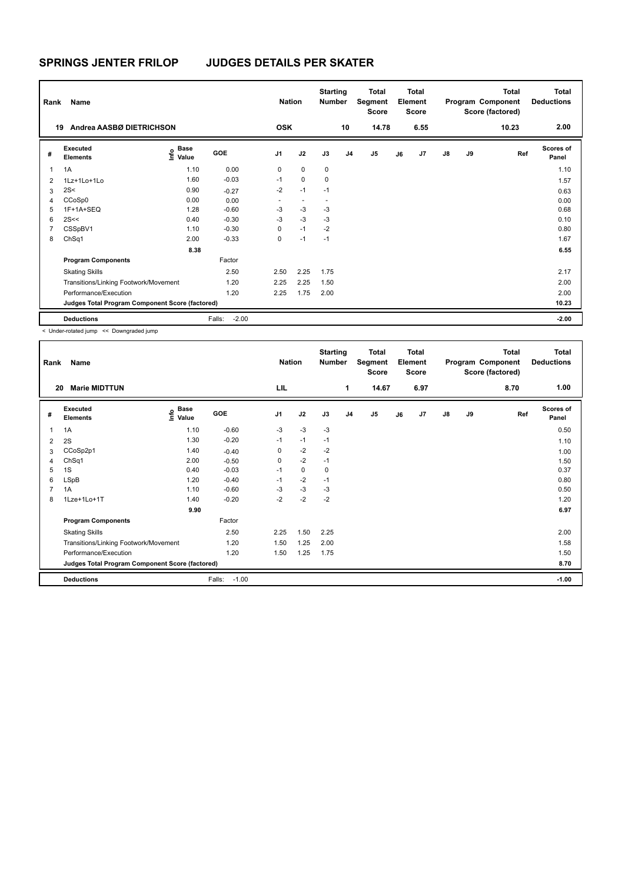| Rank           | Name                                            |                                  |                   | <b>Nation</b>            |                          | <b>Starting</b><br><b>Number</b> |    | <b>Total</b><br>Segment<br><b>Score</b> |    | <b>Total</b><br>Element<br><b>Score</b> |               |    | <b>Total</b><br>Program Component<br>Score (factored) | Total<br><b>Deductions</b> |
|----------------|-------------------------------------------------|----------------------------------|-------------------|--------------------------|--------------------------|----------------------------------|----|-----------------------------------------|----|-----------------------------------------|---------------|----|-------------------------------------------------------|----------------------------|
| 19             | Andrea AASBØ DIETRICHSON                        |                                  |                   | <b>OSK</b>               |                          |                                  | 10 | 14.78                                   |    | 6.55                                    |               |    | 10.23                                                 | 2.00                       |
| #              | Executed<br><b>Elements</b>                     | <b>Base</b><br>o Base<br>⊆ Value | GOE               | J <sub>1</sub>           | J2                       | J3                               | J4 | J <sub>5</sub>                          | J6 | J7                                      | $\mathsf{J}8$ | J9 | Ref                                                   | <b>Scores of</b><br>Panel  |
| $\overline{1}$ | 1A                                              | 1.10                             | 0.00              | 0                        | $\mathbf 0$              | 0                                |    |                                         |    |                                         |               |    |                                                       | 1.10                       |
| $\overline{2}$ | 1Lz+1Lo+1Lo                                     | 1.60                             | $-0.03$           | $-1$                     | $\mathbf 0$              | $\mathbf 0$                      |    |                                         |    |                                         |               |    |                                                       | 1.57                       |
| 3              | 2S<                                             | 0.90                             | $-0.27$           | $-2$                     | $-1$                     | $-1$                             |    |                                         |    |                                         |               |    |                                                       | 0.63                       |
| 4              | CCoSp0                                          | 0.00                             | 0.00              | $\overline{\phantom{0}}$ | $\overline{\phantom{a}}$ | $\overline{\phantom{a}}$         |    |                                         |    |                                         |               |    |                                                       | 0.00                       |
| 5              | 1F+1A+SEQ                                       | 1.28                             | $-0.60$           | $-3$                     | $-3$                     | -3                               |    |                                         |    |                                         |               |    |                                                       | 0.68                       |
| 6              | 2S<<                                            | 0.40                             | $-0.30$           | $-3$                     | $-3$                     | $-3$                             |    |                                         |    |                                         |               |    |                                                       | 0.10                       |
| $\overline{7}$ | CSSpBV1                                         | 1.10                             | $-0.30$           | 0                        | $-1$                     | $-2$                             |    |                                         |    |                                         |               |    |                                                       | 0.80                       |
| 8              | ChSq1                                           | 2.00                             | $-0.33$           | 0                        | $-1$                     | $-1$                             |    |                                         |    |                                         |               |    |                                                       | 1.67                       |
|                |                                                 | 8.38                             |                   |                          |                          |                                  |    |                                         |    |                                         |               |    |                                                       | 6.55                       |
|                | <b>Program Components</b>                       |                                  | Factor            |                          |                          |                                  |    |                                         |    |                                         |               |    |                                                       |                            |
|                | <b>Skating Skills</b>                           |                                  | 2.50              | 2.50                     | 2.25                     | 1.75                             |    |                                         |    |                                         |               |    |                                                       | 2.17                       |
|                | Transitions/Linking Footwork/Movement           |                                  | 1.20              | 2.25                     | 2.25                     | 1.50                             |    |                                         |    |                                         |               |    |                                                       | 2.00                       |
|                | Performance/Execution                           |                                  | 1.20              | 2.25                     | 1.75                     | 2.00                             |    |                                         |    |                                         |               |    |                                                       | 2.00                       |
|                | Judges Total Program Component Score (factored) |                                  |                   |                          |                          |                                  |    |                                         |    |                                         |               |    |                                                       | 10.23                      |
|                | <b>Deductions</b>                               |                                  | $-2.00$<br>Falls: |                          |                          |                                  |    |                                         |    |                                         |               |    |                                                       | $-2.00$                    |

< Under-rotated jump << Downgraded jump

| Rank | Name                                            |                       |                   | <b>Nation</b>  |      | <b>Starting</b><br>Number |                | <b>Total</b><br>Segment<br><b>Score</b> |    | <b>Total</b><br>Element<br><b>Score</b> |               |    | Total<br>Program Component<br>Score (factored) | <b>Total</b><br><b>Deductions</b> |
|------|-------------------------------------------------|-----------------------|-------------------|----------------|------|---------------------------|----------------|-----------------------------------------|----|-----------------------------------------|---------------|----|------------------------------------------------|-----------------------------------|
| 20   | <b>Marie MIDTTUN</b>                            |                       |                   | LIL            |      |                           | 1              | 14.67                                   |    | 6.97                                    |               |    | 8.70                                           | 1.00                              |
| #    | <b>Executed</b><br><b>Elements</b>              | Base<br>lnfo<br>Value | GOE               | J <sub>1</sub> | J2   | J3                        | J <sub>4</sub> | J5                                      | J6 | J7                                      | $\mathsf{J}8$ | J9 | Ref                                            | <b>Scores of</b><br>Panel         |
| 1    | 1A                                              | 1.10                  | $-0.60$           | $-3$           | $-3$ | $-3$                      |                |                                         |    |                                         |               |    |                                                | 0.50                              |
| 2    | 2S                                              | 1.30                  | $-0.20$           | $-1$           | $-1$ | $-1$                      |                |                                         |    |                                         |               |    |                                                | 1.10                              |
| 3    | CCoSp2p1                                        | 1.40                  | $-0.40$           | 0              | $-2$ | $-2$                      |                |                                         |    |                                         |               |    |                                                | 1.00                              |
| 4    | ChSq1                                           | 2.00                  | $-0.50$           | 0              | $-2$ | $-1$                      |                |                                         |    |                                         |               |    |                                                | 1.50                              |
| 5    | 1S                                              | 0.40                  | $-0.03$           | $-1$           | 0    | 0                         |                |                                         |    |                                         |               |    |                                                | 0.37                              |
| 6    | LSpB                                            | 1.20                  | $-0.40$           | $-1$           | $-2$ | $-1$                      |                |                                         |    |                                         |               |    |                                                | 0.80                              |
| 7    | 1A                                              | 1.10                  | $-0.60$           | $-3$           | $-3$ | $-3$                      |                |                                         |    |                                         |               |    |                                                | 0.50                              |
| 8    | 1Lze+1Lo+1T                                     | 1.40                  | $-0.20$           | $-2$           | $-2$ | $-2$                      |                |                                         |    |                                         |               |    |                                                | 1.20                              |
|      |                                                 | 9.90                  |                   |                |      |                           |                |                                         |    |                                         |               |    |                                                | 6.97                              |
|      | <b>Program Components</b>                       |                       | Factor            |                |      |                           |                |                                         |    |                                         |               |    |                                                |                                   |
|      | <b>Skating Skills</b>                           |                       | 2.50              | 2.25           | 1.50 | 2.25                      |                |                                         |    |                                         |               |    |                                                | 2.00                              |
|      | Transitions/Linking Footwork/Movement           |                       | 1.20              | 1.50           | 1.25 | 2.00                      |                |                                         |    |                                         |               |    |                                                | 1.58                              |
|      | Performance/Execution                           |                       | 1.20              | 1.50           | 1.25 | 1.75                      |                |                                         |    |                                         |               |    |                                                | 1.50                              |
|      | Judges Total Program Component Score (factored) |                       |                   |                |      |                           |                |                                         |    |                                         |               |    |                                                | 8.70                              |
|      | <b>Deductions</b>                               |                       | $-1.00$<br>Falls: |                |      |                           |                |                                         |    |                                         |               |    |                                                | $-1.00$                           |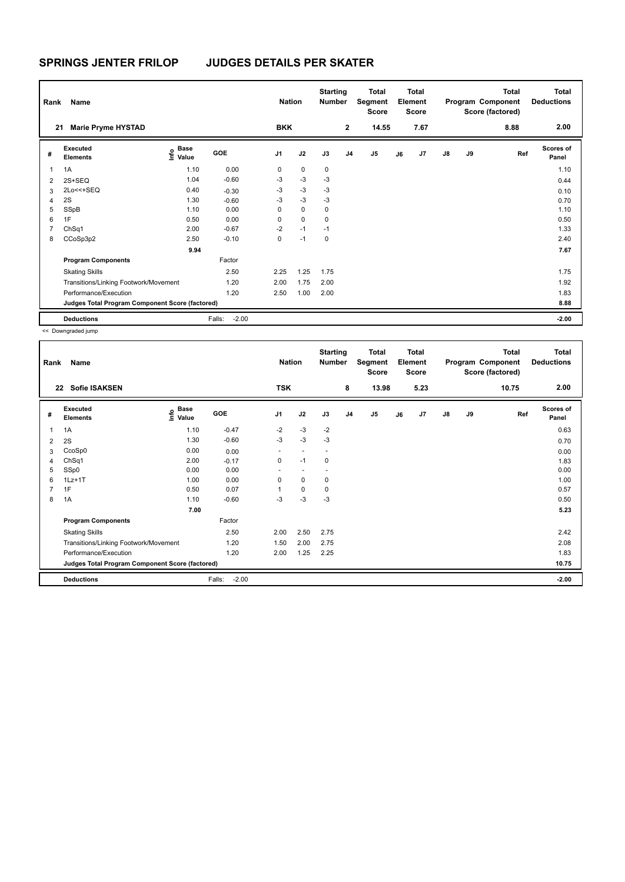| Rank<br>21     | Name<br><b>Marie Pryme HYSTAD</b>               |                                  |                   | <b>Nation</b><br><b>BKK</b> |             | <b>Starting</b><br><b>Number</b> | $\mathbf{2}$   | Total<br>Segment<br>Score<br>14.55 |    | <b>Total</b><br>Element<br>Score<br>7.67 |               |    | <b>Total</b><br>Program Component<br>Score (factored)<br>8.88 | Total<br><b>Deductions</b><br>2.00 |
|----------------|-------------------------------------------------|----------------------------------|-------------------|-----------------------------|-------------|----------------------------------|----------------|------------------------------------|----|------------------------------------------|---------------|----|---------------------------------------------------------------|------------------------------------|
|                |                                                 |                                  |                   |                             |             |                                  |                |                                    |    |                                          |               |    |                                                               |                                    |
| #              | Executed<br><b>Elements</b>                     | <b>Base</b><br>o Base<br>⊆ Value | GOE               | J <sub>1</sub>              | J2          | J3                               | J <sub>4</sub> | J <sub>5</sub>                     | J6 | J7                                       | $\mathsf{J}8$ | J9 | Ref                                                           | <b>Scores of</b><br>Panel          |
| 1              | 1A                                              | 1.10                             | 0.00              | 0                           | $\mathbf 0$ | 0                                |                |                                    |    |                                          |               |    |                                                               | 1.10                               |
| $\overline{2}$ | $2S+SEQ$                                        | 1.04                             | $-0.60$           | $-3$                        | $-3$        | $-3$                             |                |                                    |    |                                          |               |    |                                                               | 0.44                               |
| 3              | 2Lo<<+SEQ                                       | 0.40                             | $-0.30$           | $-3$                        | $-3$        | $-3$                             |                |                                    |    |                                          |               |    |                                                               | 0.10                               |
| 4              | 2S                                              | 1.30                             | $-0.60$           | $-3$                        | $-3$        | $-3$                             |                |                                    |    |                                          |               |    |                                                               | 0.70                               |
| 5              | SSpB                                            | 1.10                             | 0.00              | 0                           | $\mathbf 0$ | 0                                |                |                                    |    |                                          |               |    |                                                               | 1.10                               |
| 6              | 1F                                              | 0.50                             | 0.00              | 0                           | $\mathbf 0$ | $\mathbf 0$                      |                |                                    |    |                                          |               |    |                                                               | 0.50                               |
| 7              | ChSq1                                           | 2.00                             | $-0.67$           | $-2$                        | $-1$        | $-1$                             |                |                                    |    |                                          |               |    |                                                               | 1.33                               |
| 8              | CCoSp3p2                                        | 2.50                             | $-0.10$           | 0                           | $-1$        | 0                                |                |                                    |    |                                          |               |    |                                                               | 2.40                               |
|                |                                                 | 9.94                             |                   |                             |             |                                  |                |                                    |    |                                          |               |    |                                                               | 7.67                               |
|                | <b>Program Components</b>                       |                                  | Factor            |                             |             |                                  |                |                                    |    |                                          |               |    |                                                               |                                    |
|                | <b>Skating Skills</b>                           |                                  | 2.50              | 2.25                        | 1.25        | 1.75                             |                |                                    |    |                                          |               |    |                                                               | 1.75                               |
|                | Transitions/Linking Footwork/Movement           |                                  | 1.20              | 2.00                        | 1.75        | 2.00                             |                |                                    |    |                                          |               |    |                                                               | 1.92                               |
|                | Performance/Execution                           |                                  | 1.20              | 2.50                        | 1.00        | 2.00                             |                |                                    |    |                                          |               |    |                                                               | 1.83                               |
|                | Judges Total Program Component Score (factored) |                                  |                   |                             |             |                                  |                |                                    |    |                                          |               |    |                                                               | 8.88                               |
|                | <b>Deductions</b>                               |                                  | $-2.00$<br>Falls: |                             |             |                                  |                |                                    |    |                                          |               |    |                                                               | $-2.00$                            |

<< Downgraded jump

| Rank           | Name                                            |                                             |                   | <b>Nation</b>            |                          | <b>Starting</b><br><b>Number</b> |                | <b>Total</b><br>Segment<br><b>Score</b> |    | <b>Total</b><br>Element<br><b>Score</b> |               |    | <b>Total</b><br>Program Component<br>Score (factored) | Total<br><b>Deductions</b> |
|----------------|-------------------------------------------------|---------------------------------------------|-------------------|--------------------------|--------------------------|----------------------------------|----------------|-----------------------------------------|----|-----------------------------------------|---------------|----|-------------------------------------------------------|----------------------------|
| 22             | <b>Sofie ISAKSEN</b>                            |                                             |                   | <b>TSK</b>               |                          |                                  | 8              | 13.98                                   |    | 5.23                                    |               |    | 10.75                                                 | 2.00                       |
| #              | Executed<br><b>Elements</b>                     | <b>Base</b><br>e <sup>Base</sup><br>⊆ Value | GOE               | J <sub>1</sub>           | J2                       | J3                               | J <sub>4</sub> | J <sub>5</sub>                          | J6 | J7                                      | $\mathsf{J}8$ | J9 | Ref                                                   | <b>Scores of</b><br>Panel  |
| 1              | 1A                                              | 1.10                                        | $-0.47$           | $-2$                     | $-3$                     | $-2$                             |                |                                         |    |                                         |               |    |                                                       | 0.63                       |
| 2              | 2S                                              | 1.30                                        | $-0.60$           | $-3$                     | -3                       | $-3$                             |                |                                         |    |                                         |               |    |                                                       | 0.70                       |
| 3              | CcoSp0                                          | 0.00                                        | 0.00              | $\overline{\phantom{a}}$ | $\overline{\phantom{a}}$ | $\overline{\phantom{a}}$         |                |                                         |    |                                         |               |    |                                                       | 0.00                       |
| 4              | ChSq1                                           | 2.00                                        | $-0.17$           | 0                        | $-1$                     | 0                                |                |                                         |    |                                         |               |    |                                                       | 1.83                       |
| 5              | SSp0                                            | 0.00                                        | 0.00              | ٠                        | $\overline{\phantom{a}}$ |                                  |                |                                         |    |                                         |               |    |                                                       | 0.00                       |
| 6              | $1Lz+1T$                                        | 1.00                                        | 0.00              | 0                        | $\mathbf 0$              | 0                                |                |                                         |    |                                         |               |    |                                                       | 1.00                       |
| $\overline{7}$ | 1F                                              | 0.50                                        | 0.07              |                          | $\mathbf 0$              | 0                                |                |                                         |    |                                         |               |    |                                                       | 0.57                       |
| 8              | 1A                                              | 1.10                                        | $-0.60$           | $-3$                     | $-3$                     | -3                               |                |                                         |    |                                         |               |    |                                                       | 0.50                       |
|                |                                                 | 7.00                                        |                   |                          |                          |                                  |                |                                         |    |                                         |               |    |                                                       | 5.23                       |
|                | <b>Program Components</b>                       |                                             | Factor            |                          |                          |                                  |                |                                         |    |                                         |               |    |                                                       |                            |
|                | <b>Skating Skills</b>                           |                                             | 2.50              | 2.00                     | 2.50                     | 2.75                             |                |                                         |    |                                         |               |    |                                                       | 2.42                       |
|                | Transitions/Linking Footwork/Movement           |                                             | 1.20              | 1.50                     | 2.00                     | 2.75                             |                |                                         |    |                                         |               |    |                                                       | 2.08                       |
|                | Performance/Execution                           |                                             | 1.20              | 2.00                     | 1.25                     | 2.25                             |                |                                         |    |                                         |               |    |                                                       | 1.83                       |
|                | Judges Total Program Component Score (factored) |                                             |                   |                          |                          |                                  |                |                                         |    |                                         |               |    |                                                       | 10.75                      |
|                | <b>Deductions</b>                               |                                             | $-2.00$<br>Falls: |                          |                          |                                  |                |                                         |    |                                         |               |    |                                                       | $-2.00$                    |